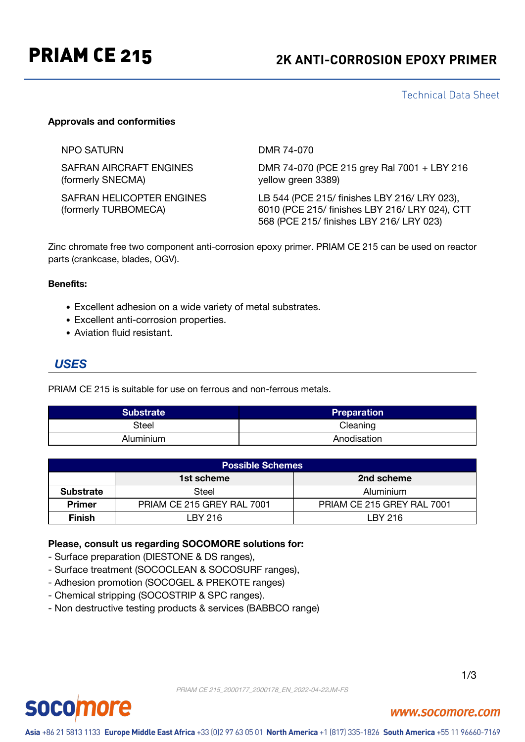## PRIAM CE 215 **2K ANTI-CORROSION EPOXY PRIMER**

Technical Data Sheet

### **Approvals and conformities**

NPO SATURN DMR 74-070

SAFRAN AIRCRAFT ENGINES (formerly SNECMA)

SAFRAN HELICOPTER ENGINES (formerly TURBOMECA)

DMR 74-070 (PCE 215 grey Ral 7001 + LBY 216 yellow green 3389)

LB 544 (PCE 215/ finishes LBY 216/ LRY 023), 6010 (PCE 215/ finishes LBY 216/ LRY 024), CTT 568 (PCE 215/ finishes LBY 216/ LRY 023)

Zinc chromate free two component anti-corrosion epoxy primer. PRIAM CE 215 can be used on reactor parts (crankcase, blades, OGV).

#### **Benefits:**

- Excellent adhesion on a wide variety of metal substrates.
- Excellent anti-corrosion properties.
- Aviation fluid resistant.

## *USES*

PRIAM CE 215 is suitable for use on ferrous and non-ferrous metals.

| <b>Substrate</b> | <b>Preparation</b> |
|------------------|--------------------|
| Steel            | Cleaning           |
| Aluminium        | Anodisation        |

| <b>Possible Schemes</b> |                            |                            |  |
|-------------------------|----------------------------|----------------------------|--|
|                         | 1st scheme                 | 2nd scheme                 |  |
| <b>Substrate</b>        | Steel                      | Aluminium                  |  |
| <b>Primer</b>           | PRIAM CE 215 GREY RAL 7001 | PRIAM CE 215 GREY RAL 7001 |  |
| <b>Finish</b>           | LBY 216                    | LBY 216                    |  |

#### **Please, consult us regarding SOCOMORE solutions for:**

- Surface preparation (DIESTONE & DS ranges),
- Surface treatment (SOCOCLEAN & SOCOSURF ranges),
- Adhesion promotion (SOCOGEL & PREKOTE ranges)
- Chemical stripping (SOCOSTRIP & SPC ranges).
- Non destructive testing products & services (BABBCO range)



# **socomore**

## www.socomore.com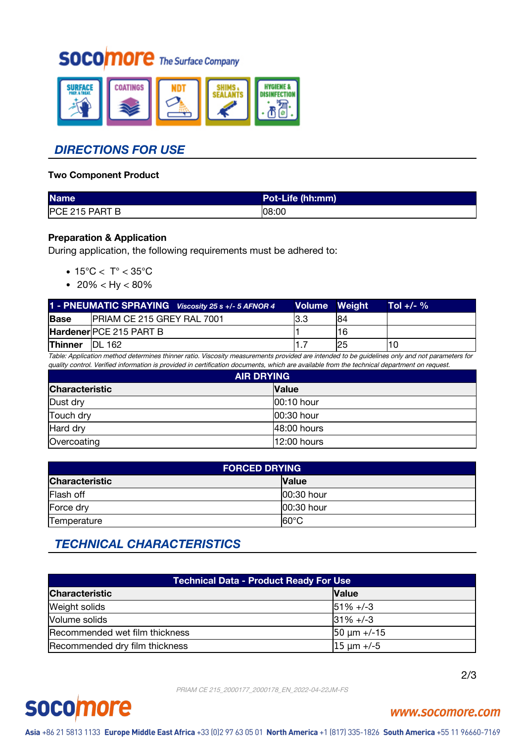## **SOCOMOFE** The Surface Company



## *DIRECTIONS FOR USE*

### **Two Component Product**

| <b>Name</b>    | Pot-Life (hh:mm) |
|----------------|------------------|
| PCE 215 PART B | 108:00           |

## **Preparation & Application**

During application, the following requirements must be adhered to:

- $\bullet$  15°C < T° < 35°C
- $20\% <$  Hy  $< 80\%$

|                           | 1 - PNEUMATIC SPRAYING Viscosity 25 s +/- 5 AFNOR 4 | Volume Weiaht' |     | Tol +/- $\%$ |
|---------------------------|-----------------------------------------------------|----------------|-----|--------------|
| <b>Base</b>               | PRIAM CE 215 GREY RAL 7001                          | I3.3           | 84  |              |
|                           | <b>Hardener PCE 215 PART B</b>                      |                | 16  |              |
| Thinner<br><b>IDL 162</b> |                                                     |                | '25 | '10          |

Table: Application method determines thinner ratio. Viscosity measurements provided are intended to be guidelines only and not parameters for quality control. Verified information is provided in certification documents, which are available from the technical department on request.

| <b>AIR DRYING</b>     |              |  |
|-----------------------|--------------|--|
| <b>Characteristic</b> | <b>Value</b> |  |
| Dust dry              | 100:10 hour  |  |
| Touch dry             | 00:30 hour   |  |
| Hard dry              | 48:00 hours  |  |
| Overcoating           | 12:00 hours  |  |

| <b>FORCED DRYING</b>  |                 |  |
|-----------------------|-----------------|--|
| <b>Characteristic</b> | <b>Value</b>    |  |
| Flash off             | 100:30 hour     |  |
| Force dry             | 100:30 hour     |  |
| Temperature           | $ 60^{\circ}$ C |  |

## *TECHNICAL CHARACTERISTICS*

| Technical Data - Product Ready For Use |                 |  |
|----------------------------------------|-----------------|--|
| <b>Characteristic</b>                  | <b>Value</b>    |  |
| Weight solids                          | $151\% + (-3)$  |  |
| Volume solids                          | $ 31\% +  -3 $  |  |
| Recommended wet film thickness         | $50 \mu m + 15$ |  |
| Recommended dry film thickness         | $15 \mu m + -5$ |  |

2/3

PRIAM CE 215\_2000177\_2000178\_EN\_2022-04-22JM-FS



## www.socomore.com

Asia +86 21 5813 1133 Europe Middle East Africa +33 (0)2 97 63 05 01 North America +1 (817) 335-1826 South America +55 11 96660-7169